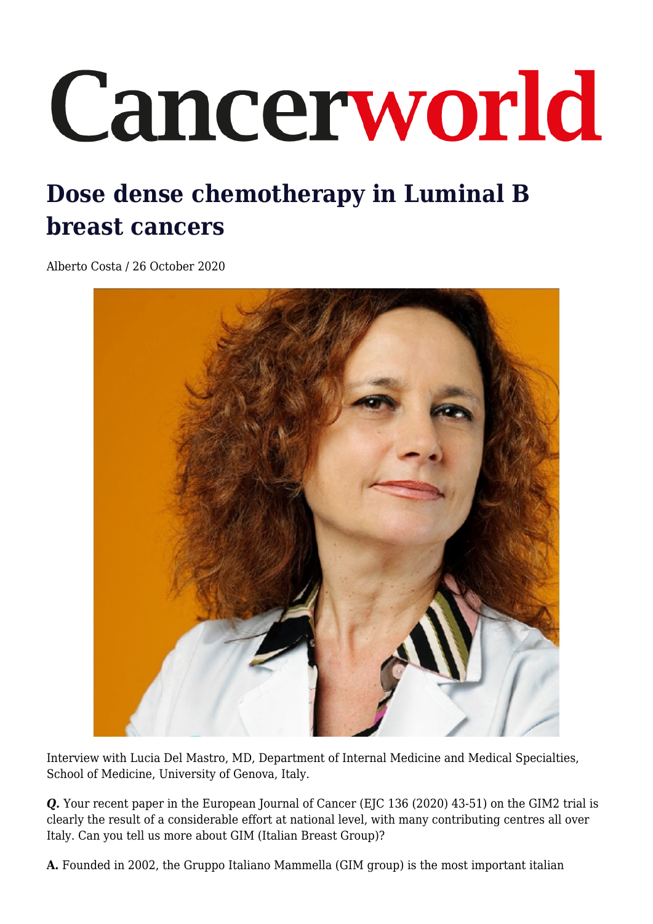## Cancerworld

## **Dose dense chemotherapy in Luminal B breast cancers**

Alberto Costa / 26 October 2020



Interview with Lucia Del Mastro, MD, Department of Internal Medicine and Medical Specialties, School of Medicine, University of Genova, Italy.

**Q.** Your recent paper in the European Journal of Cancer (EJC 136 (2020) 43-51) on the GIM2 trial is clearly the result of a considerable effort at national level, with many contributing centres all over Italy. Can you tell us more about GIM (Italian Breast Group)?

**A.** Founded in 2002, the Gruppo Italiano Mammella (GIM group) is the most important italian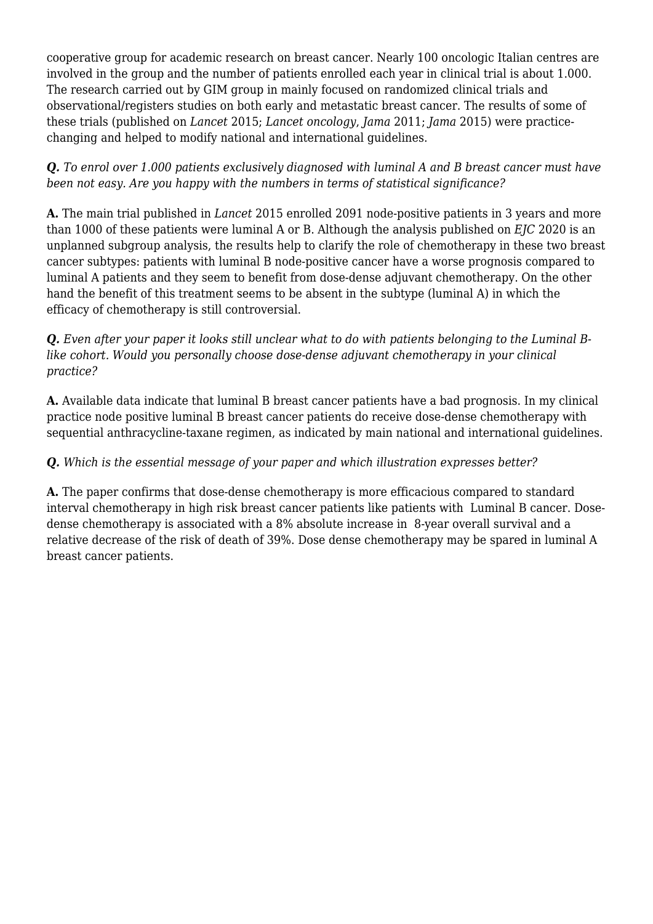cooperative group for academic research on breast cancer. Nearly 100 oncologic Italian centres are involved in the group and the number of patients enrolled each year in clinical trial is about 1.000. The research carried out by GIM group in mainly focused on randomized clinical trials and observational/registers studies on both early and metastatic breast cancer. The results of some of these trials (published on *Lancet* 2015; *Lancet oncology*, *Jama* 2011; *Jama* 2015) were practicechanging and helped to modify national and international guidelines.

*Q. To enrol over 1.000 patients exclusively diagnosed with luminal A and B breast cancer must have been not easy. Are you happy with the numbers in terms of statistical significance?* 

**A.** The main trial published in *Lancet* 2015 enrolled 2091 node-positive patients in 3 years and more than 1000 of these patients were luminal A or B. Although the analysis published on *EJC* 2020 is an unplanned subgroup analysis, the results help to clarify the role of chemotherapy in these two breast cancer subtypes: patients with luminal B node-positive cancer have a worse prognosis compared to luminal A patients and they seem to benefit from dose-dense adjuvant chemotherapy. On the other hand the benefit of this treatment seems to be absent in the subtype (luminal A) in which the efficacy of chemotherapy is still controversial.

*Q. Even after your paper it looks still unclear what to do with patients belonging to the Luminal Blike cohort. Would you personally choose dose-dense adjuvant chemotherapy in your clinical practice?*

**A.** Available data indicate that luminal B breast cancer patients have a bad prognosis. In my clinical practice node positive luminal B breast cancer patients do receive dose-dense chemotherapy with sequential anthracycline-taxane regimen, as indicated by main national and international guidelines.

## *Q. Which is the essential message of your paper and which illustration expresses better?*

**A.** The paper confirms that dose-dense chemotherapy is more efficacious compared to standard interval chemotherapy in high risk breast cancer patients like patients with Luminal B cancer. Dosedense chemotherapy is associated with a 8% absolute increase in 8-year overall survival and a relative decrease of the risk of death of 39%. Dose dense chemotherapy may be spared in luminal A breast cancer patients.